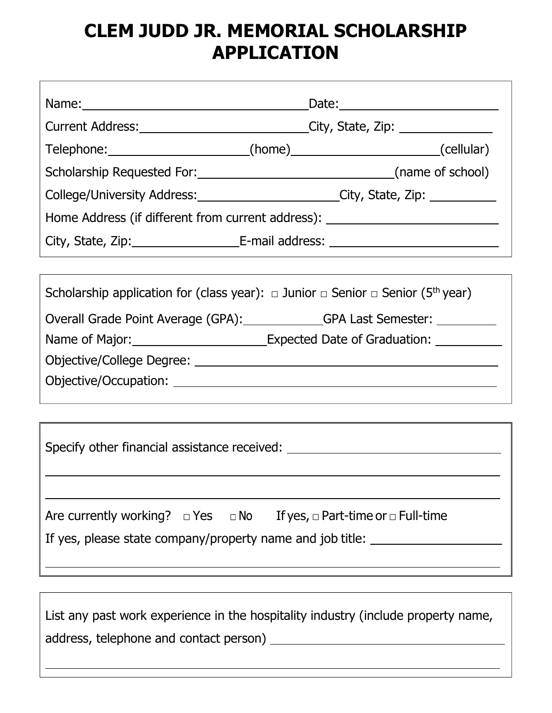## **CLEM JUDD JR. MEMORIAL SCHOLARSHIP APPLICATION**

| _Date:____________________________                                                                                                                                           |
|------------------------------------------------------------------------------------------------------------------------------------------------------------------------------|
| Current Address: Current Address: Current Address: Current Address: Current Address:                                                                                         |
| Telephone: ________________________(home)___________________________(cellular)                                                                                               |
|                                                                                                                                                                              |
| College/University Address: College/University Address: College/University Address:                                                                                          |
| Home Address (if different from current address): ______________________________                                                                                             |
|                                                                                                                                                                              |
|                                                                                                                                                                              |
| Scholarship application for (class year): $\Box$ Junior $\Box$ Senior $\Box$ Senior (5 <sup>th</sup> year)                                                                   |
|                                                                                                                                                                              |
| Name of Major: _____________________________Expected Date of Graduation: ________                                                                                            |
|                                                                                                                                                                              |
|                                                                                                                                                                              |
|                                                                                                                                                                              |
| Specify other financial assistance received: ___________________________________                                                                                             |
| Are currently working? $\Box$ Yes $\Box$ No If yes, $\Box$ Part-time or $\Box$ Full-time<br>If yes, please state company/property name and job title: ______________________ |
|                                                                                                                                                                              |
| List any past work experience in the hospitality industry (include property name,                                                                                            |